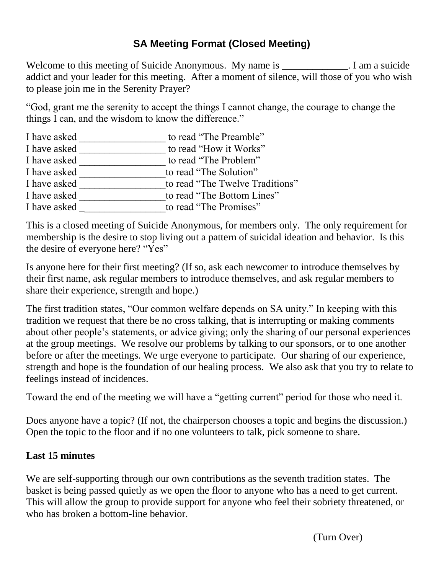## **SA Meeting Format (Closed Meeting)**

Welcome to this meeting of Suicide Anonymous. My name is \_\_\_\_\_\_\_\_\_\_\_\_. I am a suicide addict and your leader for this meeting. After a moment of silence, will those of you who wish to please join me in the Serenity Prayer?

"God, grant me the serenity to accept the things I cannot change, the courage to change the things I can, and the wisdom to know the difference."

| I have asked | to read "The Preamble"          |
|--------------|---------------------------------|
| I have asked | to read "How it Works"          |
| I have asked | to read "The Problem"           |
| I have asked | to read "The Solution"          |
| I have asked | to read "The Twelve Traditions" |
| I have asked | to read "The Bottom Lines"      |
| I have asked | to read "The Promises"          |
|              |                                 |

This is a closed meeting of Suicide Anonymous, for members only. The only requirement for membership is the desire to stop living out a pattern of suicidal ideation and behavior. Is this the desire of everyone here? "Yes"

Is anyone here for their first meeting? (If so, ask each newcomer to introduce themselves by their first name, ask regular members to introduce themselves, and ask regular members to share their experience, strength and hope.)

The first tradition states, "Our common welfare depends on SA unity." In keeping with this tradition we request that there be no cross talking, that is interrupting or making comments about other people's statements, or advice giving; only the sharing of our personal experiences at the group meetings. We resolve our problems by talking to our sponsors, or to one another before or after the meetings. We urge everyone to participate. Our sharing of our experience, strength and hope is the foundation of our healing process. We also ask that you try to relate to feelings instead of incidences.

Toward the end of the meeting we will have a "getting current" period for those who need it.

Does anyone have a topic? (If not, the chairperson chooses a topic and begins the discussion.) Open the topic to the floor and if no one volunteers to talk, pick someone to share.

### **Last 15 minutes**

We are self-supporting through our own contributions as the seventh tradition states. The basket is being passed quietly as we open the floor to anyone who has a need to get current. This will allow the group to provide support for anyone who feel their sobriety threatened, or who has broken a bottom-line behavior.